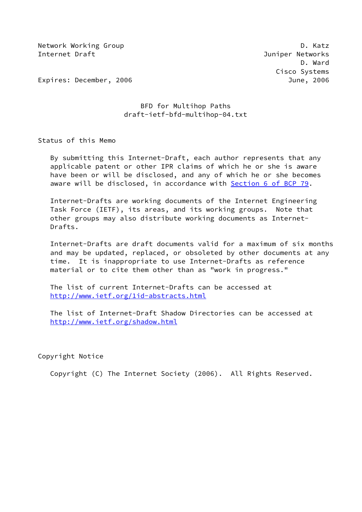Network Working Group **D. Ratz** Internet Draft Juniper Networks

 D. Ward Cisco Systems

Expires: December, 2006 June, 2006

# BFD for Multihop Paths draft-ietf-bfd-multihop-04.txt

Status of this Memo

 By submitting this Internet-Draft, each author represents that any applicable patent or other IPR claims of which he or she is aware have been or will be disclosed, and any of which he or she becomes aware will be disclosed, in accordance with Section [6 of BCP 79.](https://datatracker.ietf.org/doc/pdf/bcp79#section-6)

 Internet-Drafts are working documents of the Internet Engineering Task Force (IETF), its areas, and its working groups. Note that other groups may also distribute working documents as Internet- Drafts.

 Internet-Drafts are draft documents valid for a maximum of six months and may be updated, replaced, or obsoleted by other documents at any time. It is inappropriate to use Internet-Drafts as reference material or to cite them other than as "work in progress."

 The list of current Internet-Drafts can be accessed at <http://www.ietf.org/1id-abstracts.html>

 The list of Internet-Draft Shadow Directories can be accessed at <http://www.ietf.org/shadow.html>

Copyright Notice

Copyright (C) The Internet Society (2006). All Rights Reserved.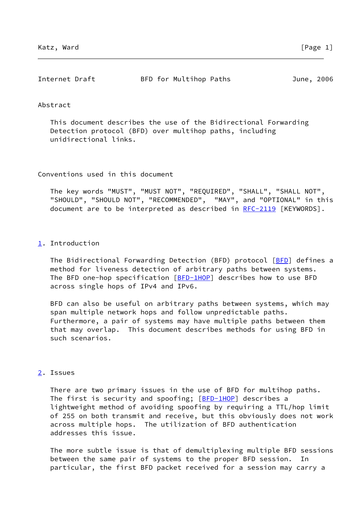| Internet Draft | BFD for Multihop Paths | June, 2006 |  |
|----------------|------------------------|------------|--|
|                |                        |            |  |

### Abstract

 This document describes the use of the Bidirectional Forwarding Detection protocol (BFD) over multihop paths, including unidirectional links.

Conventions used in this document

 The key words "MUST", "MUST NOT", "REQUIRED", "SHALL", "SHALL NOT", "SHOULD", "SHOULD NOT", "RECOMMENDED", "MAY", and "OPTIONAL" in this document are to be interpreted as described in [RFC-2119](https://datatracker.ietf.org/doc/pdf/rfc2119) [KEYWORDS].

### <span id="page-1-0"></span>[1](#page-1-0). Introduction

The Bidirectional Forwarding Detection ([BFD](#page-4-0)) protocol [BFD] defines a method for liveness detection of arbitrary paths between systems. The BFD one-hop specification [[BFD-1HOP\]](#page-2-0) describes how to use BFD across single hops of IPv4 and IPv6.

 BFD can also be useful on arbitrary paths between systems, which may span multiple network hops and follow unpredictable paths. Furthermore, a pair of systems may have multiple paths between them that may overlap. This document describes methods for using BFD in such scenarios.

## <span id="page-1-1"></span>[2](#page-1-1). Issues

 There are two primary issues in the use of BFD for multihop paths. The first is security and spoofing; [\[BFD-1HOP](#page-2-0)] describes a lightweight method of avoiding spoofing by requiring a TTL/hop limit of 255 on both transmit and receive, but this obviously does not work across multiple hops. The utilization of BFD authentication addresses this issue.

 The more subtle issue is that of demultiplexing multiple BFD sessions between the same pair of systems to the proper BFD session. particular, the first BFD packet received for a session may carry a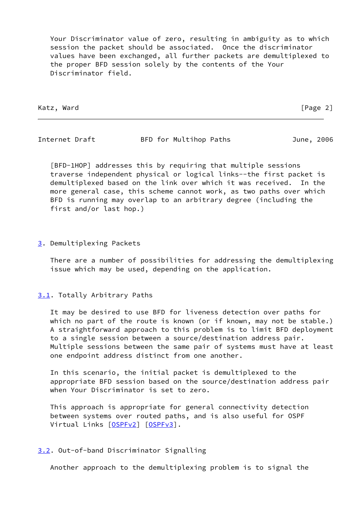Your Discriminator value of zero, resulting in ambiguity as to which session the packet should be associated. Once the discriminator values have been exchanged, all further packets are demultiplexed to the proper BFD session solely by the contents of the Your Discriminator field.

Katz, Ward [Page 2]

Internet Draft BFD for Multihop Paths June, 2006

<span id="page-2-0"></span> [BFD-1HOP] addresses this by requiring that multiple sessions traverse independent physical or logical links--the first packet is demultiplexed based on the link over which it was received. In the more general case, this scheme cannot work, as two paths over which BFD is running may overlap to an arbitrary degree (including the first and/or last hop.)

<span id="page-2-1"></span>[3](#page-2-1). Demultiplexing Packets

 There are a number of possibilities for addressing the demultiplexing issue which may be used, depending on the application.

## <span id="page-2-2"></span>[3.1](#page-2-2). Totally Arbitrary Paths

 It may be desired to use BFD for liveness detection over paths for which no part of the route is known (or if known, may not be stable.) A straightforward approach to this problem is to limit BFD deployment to a single session between a source/destination address pair. Multiple sessions between the same pair of systems must have at least one endpoint address distinct from one another.

 In this scenario, the initial packet is demultiplexed to the appropriate BFD session based on the source/destination address pair when Your Discriminator is set to zero.

 This approach is appropriate for general connectivity detection between systems over routed paths, and is also useful for OSPF Virtual Links [[OSPFv2](#page-5-0)] [\[OSPFv3](#page-5-1)].

# <span id="page-2-3"></span>[3.2](#page-2-3). Out-of-band Discriminator Signalling

Another approach to the demultiplexing problem is to signal the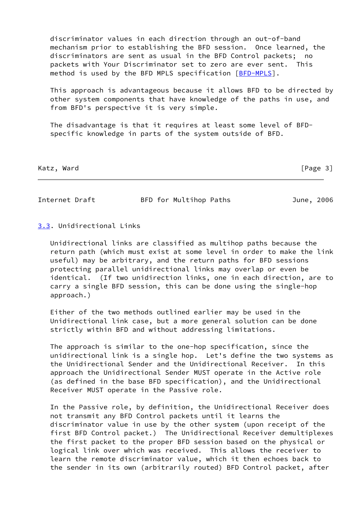discriminator values in each direction through an out-of-band mechanism prior to establishing the BFD session. Once learned, the discriminators are sent as usual in the BFD Control packets; no packets with Your Discriminator set to zero are ever sent. This method is used by the BFD MPLS specification [\[BFD-MPLS](#page-4-1)].

 This approach is advantageous because it allows BFD to be directed by other system components that have knowledge of the paths in use, and from BFD's perspective it is very simple.

 The disadvantage is that it requires at least some level of BFD specific knowledge in parts of the system outside of BFD.

Katz, Ward [Page 3]

Internet Draft BFD for Multihop Paths June, 2006

# <span id="page-3-0"></span>[3.3](#page-3-0). Unidirectional Links

 Unidirectional links are classified as multihop paths because the return path (which must exist at some level in order to make the link useful) may be arbitrary, and the return paths for BFD sessions protecting parallel unidirectional links may overlap or even be identical. (If two unidirection links, one in each direction, are to carry a single BFD session, this can be done using the single-hop approach.)

 Either of the two methods outlined earlier may be used in the Unidirectional link case, but a more general solution can be done strictly within BFD and without addressing limitations.

 The approach is similar to the one-hop specification, since the unidirectional link is a single hop. Let's define the two systems as the Unidirectional Sender and the Unidirectional Receiver. In this approach the Unidirectional Sender MUST operate in the Active role (as defined in the base BFD specification), and the Unidirectional Receiver MUST operate in the Passive role.

 In the Passive role, by definition, the Unidirectional Receiver does not transmit any BFD Control packets until it learns the discriminator value in use by the other system (upon receipt of the first BFD Control packet.) The Unidirectional Receiver demultiplexes the first packet to the proper BFD session based on the physical or logical link over which was received. This allows the receiver to learn the remote discriminator value, which it then echoes back to the sender in its own (arbitrarily routed) BFD Control packet, after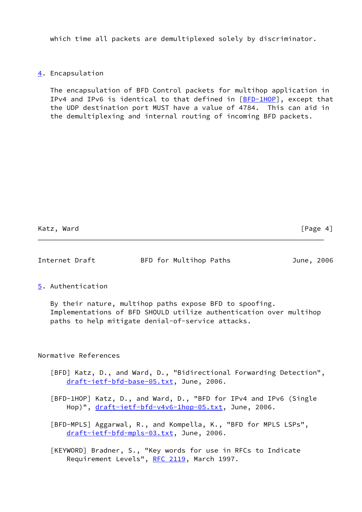which time all packets are demultiplexed solely by discriminator.

# <span id="page-4-2"></span>[4](#page-4-2). Encapsulation

 The encapsulation of BFD Control packets for multihop application in IPv4 and IPv6 is identical to that defined in  $[BFD-1HOP]$  $[BFD-1HOP]$ , except that the UDP destination port MUST have a value of 4784. This can aid in the demultiplexing and internal routing of incoming BFD packets.

Katz, Ward [Page 4]

## Internet Draft BFD for Multihop Paths June, 2006

## <span id="page-4-3"></span>[5](#page-4-3). Authentication

 By their nature, multihop paths expose BFD to spoofing. Implementations of BFD SHOULD utilize authentication over multihop paths to help mitigate denial-of-service attacks.

## Normative References

- <span id="page-4-0"></span> [BFD] Katz, D., and Ward, D., "Bidirectional Forwarding Detection", [draft-ietf-bfd-base-05.txt,](https://datatracker.ietf.org/doc/pdf/draft-ietf-bfd-base-05.txt) June, 2006.
- [BFD-1HOP] Katz, D., and Ward, D., "BFD for IPv4 and IPv6 (Single Hop)", [draft-ietf-bfd-v4v6-1hop-05.txt](https://datatracker.ietf.org/doc/pdf/draft-ietf-bfd-v4v6-1hop-05.txt), June, 2006.
- <span id="page-4-1"></span> [BFD-MPLS] Aggarwal, R., and Kompella, K., "BFD for MPLS LSPs", [draft-ietf-bfd-mpls-03.txt,](https://datatracker.ietf.org/doc/pdf/draft-ietf-bfd-mpls-03.txt) June, 2006.
- [KEYWORD] Bradner, S., "Key words for use in RFCs to Indicate Requirement Levels", [RFC 2119](https://datatracker.ietf.org/doc/pdf/rfc2119), March 1997.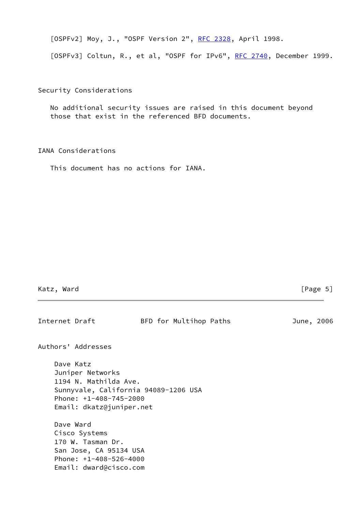<span id="page-5-0"></span>[OSPFv2] Moy, J., "OSPF Version 2", [RFC 2328,](https://datatracker.ietf.org/doc/pdf/rfc2328) April 1998.

<span id="page-5-1"></span>[OSPFv3] Coltun, R., et al, "OSPF for IPv6", [RFC 2740](https://datatracker.ietf.org/doc/pdf/rfc2740), December 1999.

Security Considerations

 No additional security issues are raised in this document beyond those that exist in the referenced BFD documents.

IANA Considerations

This document has no actions for IANA.

Katz, Ward [Page 5]

| Internet Draft |                                                                                                                                                        |  | BFD for Multihop Paths |  | June, 2006 |  |
|----------------|--------------------------------------------------------------------------------------------------------------------------------------------------------|--|------------------------|--|------------|--|
|                | Authors' Addresses                                                                                                                                     |  |                        |  |            |  |
|                | Dave Katz<br>Juniper Networks<br>1194 N. Mathilda Ave.<br>Sunnyvale, California 94089-1206 USA<br>Phone: $+1-408-745-2000$<br>Email: dkatz@juniper.net |  |                        |  |            |  |
| Dave Ward      | Cisco Systems<br>170 W. Tasman Dr.<br>San Jose, CA 95134 USA<br>Phone: $+1-408-526-4000$<br>Email: dward@cisco.com                                     |  |                        |  |            |  |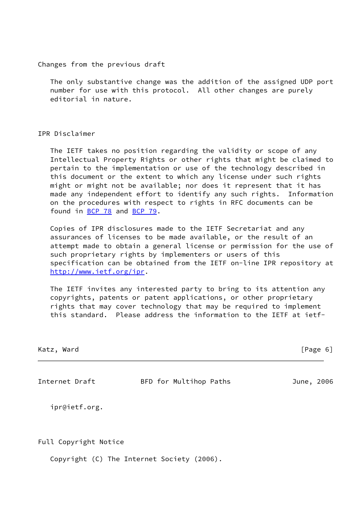Changes from the previous draft

 The only substantive change was the addition of the assigned UDP port number for use with this protocol. All other changes are purely editorial in nature.

#### IPR Disclaimer

 The IETF takes no position regarding the validity or scope of any Intellectual Property Rights or other rights that might be claimed to pertain to the implementation or use of the technology described in this document or the extent to which any license under such rights might or might not be available; nor does it represent that it has made any independent effort to identify any such rights. Information on the procedures with respect to rights in RFC documents can be found in [BCP 78](https://datatracker.ietf.org/doc/pdf/bcp78) and [BCP 79](https://datatracker.ietf.org/doc/pdf/bcp79).

 Copies of IPR disclosures made to the IETF Secretariat and any assurances of licenses to be made available, or the result of an attempt made to obtain a general license or permission for the use of such proprietary rights by implementers or users of this specification can be obtained from the IETF on-line IPR repository at <http://www.ietf.org/ipr>.

 The IETF invites any interested party to bring to its attention any copyrights, patents or patent applications, or other proprietary rights that may cover technology that may be required to implement this standard. Please address the information to the IETF at ietf-

| Katz. | Ward |
|-------|------|
|       |      |

 $[Page 6]$ 

Internet Draft BFD for Multihop Paths June, 2006

ipr@ietf.org.

Full Copyright Notice

Copyright (C) The Internet Society (2006).